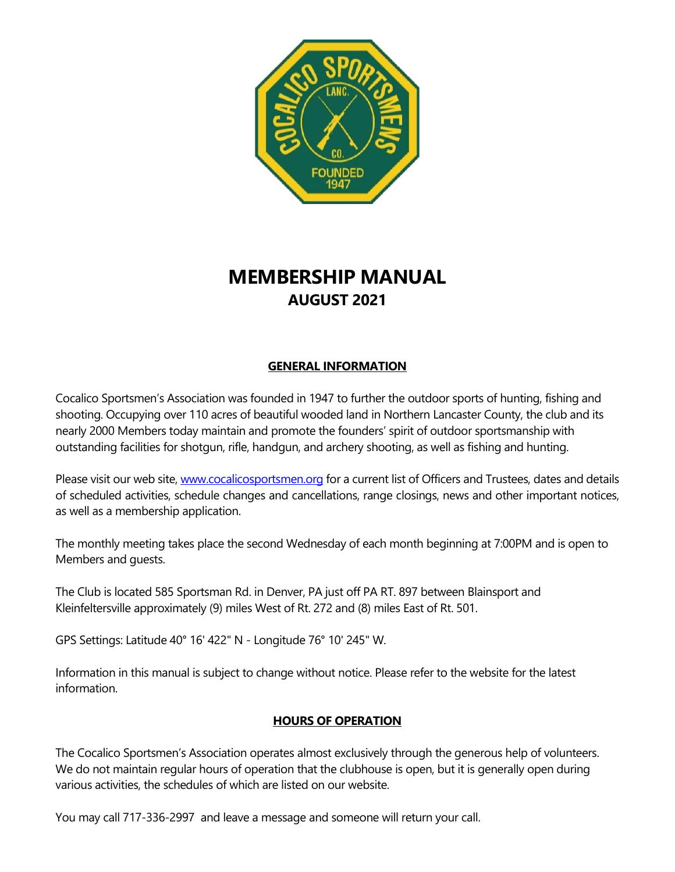

# **MEMBERSHIP MANUAL AUGUST 2021**

# **GENERAL INFORMATION**

Cocalico Sportsmen's Association was founded in 1947 to further the outdoor sports of hunting, fishing and shooting. Occupying over 110 acres of beautiful wooded land in Northern Lancaster County, the club and its nearly 2000 Members today maintain and promote the founders' spirit of outdoor sportsmanship with outstanding facilities for shotgun, rifle, handgun, and archery shooting, as well as fishing and hunting.

Please visit our web site, [www.cocalicosportsmen.org](http://www.cocalicosportsmen.org/) for a current list of Officers and Trustees, dates and details of scheduled activities, schedule changes and cancellations, range closings, news and other important notices, as well as a membership application.

The monthly meeting takes place the second Wednesday of each month beginning at 7:00PM and is open to Members and guests.

The Club is located 585 Sportsman Rd. in Denver, PA just off PA RT. 897 between Blainsport and Kleinfeltersville approximately (9) miles West of Rt. 272 and (8) miles East of Rt. 501.

GPS Settings: Latitude 40° 16' 422" N - Longitude 76° 10' 245" W.

Information in this manual is subject to change without notice. Please refer to the website for the latest information.

# **HOURS OF OPERATION**

The Cocalico Sportsmen's Association operates almost exclusively through the generous help of volunteers. We do not maintain regular hours of operation that the clubhouse is open, but it is generally open during various activities, the schedules of which are listed on our website.

You may call 717-336-2997 and leave a message and someone will return your call.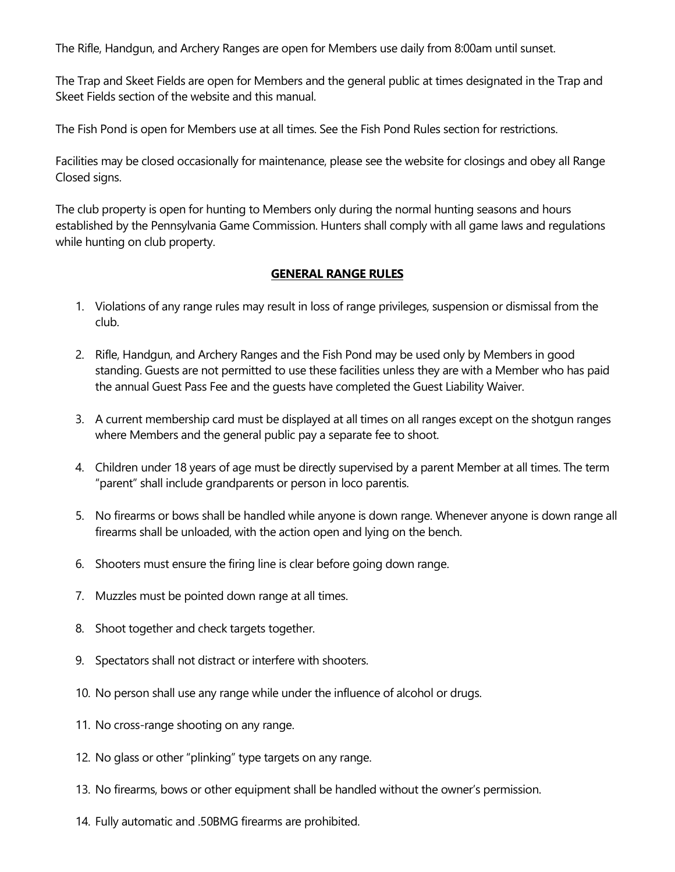The Rifle, Handgun, and Archery Ranges are open for Members use daily from 8:00am until sunset.

The Trap and Skeet Fields are open for Members and the general public at times designated in the Trap and Skeet Fields section of the website and this manual.

The Fish Pond is open for Members use at all times. See the Fish Pond Rules section for restrictions.

Facilities may be closed occasionally for maintenance, please see the website for closings and obey all Range Closed signs.

The club property is open for hunting to Members only during the normal hunting seasons and hours established by the Pennsylvania Game Commission. Hunters shall comply with all game laws and regulations while hunting on club property.

#### **GENERAL RANGE RULES**

- 1. Violations of any range rules may result in loss of range privileges, suspension or dismissal from the club.
- 2. Rifle, Handgun, and Archery Ranges and the Fish Pond may be used only by Members in good standing. Guests are not permitted to use these facilities unless they are with a Member who has paid the annual Guest Pass Fee and the guests have completed the Guest Liability Waiver.
- 3. A current membership card must be displayed at all times on all ranges except on the shotgun ranges where Members and the general public pay a separate fee to shoot.
- 4. Children under 18 years of age must be directly supervised by a parent Member at all times. The term "parent" shall include grandparents or person in loco parentis.
- 5. No firearms or bows shall be handled while anyone is down range. Whenever anyone is down range all firearms shall be unloaded, with the action open and lying on the bench.
- 6. Shooters must ensure the firing line is clear before going down range.
- 7. Muzzles must be pointed down range at all times.
- 8. Shoot together and check targets together.
- 9. Spectators shall not distract or interfere with shooters.
- 10. No person shall use any range while under the influence of alcohol or drugs.
- 11. No cross-range shooting on any range.
- 12. No glass or other "plinking" type targets on any range.
- 13. No firearms, bows or other equipment shall be handled without the owner's permission.
- 14. Fully automatic and .50BMG firearms are prohibited.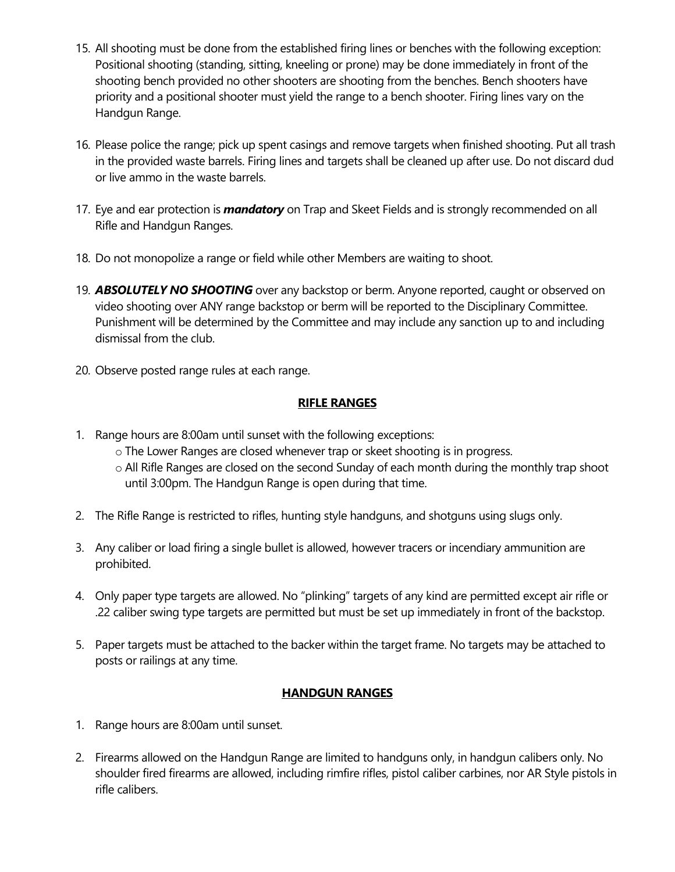- 15. All shooting must be done from the established firing lines or benches with the following exception: Positional shooting (standing, sitting, kneeling or prone) may be done immediately in front of the shooting bench provided no other shooters are shooting from the benches. Bench shooters have priority and a positional shooter must yield the range to a bench shooter. Firing lines vary on the Handgun Range.
- 16. Please police the range; pick up spent casings and remove targets when finished shooting. Put all trash in the provided waste barrels. Firing lines and targets shall be cleaned up after use. Do not discard dud or live ammo in the waste barrels.
- 17. Eye and ear protection is *mandatory* on Trap and Skeet Fields and is strongly recommended on all Rifle and Handgun Ranges.
- 18. Do not monopolize a range or field while other Members are waiting to shoot.
- 19. *ABSOLUTELY NO SHOOTING* over any backstop or berm. Anyone reported, caught or observed on video shooting over ANY range backstop or berm will be reported to the Disciplinary Committee. Punishment will be determined by the Committee and may include any sanction up to and including dismissal from the club.
- 20. Observe posted range rules at each range.

# **RIFLE RANGES**

- 1. Range hours are 8:00am until sunset with the following exceptions:
	- o The Lower Ranges are closed whenever trap or skeet shooting is in progress.
	- o All Rifle Ranges are closed on the second Sunday of each month during the monthly trap shoot until 3:00pm. The Handgun Range is open during that time.
- 2. The Rifle Range is restricted to rifles, hunting style handguns, and shotguns using slugs only.
- 3. Any caliber or load firing a single bullet is allowed, however tracers or incendiary ammunition are prohibited.
- 4. Only paper type targets are allowed. No "plinking" targets of any kind are permitted except air rifle or .22 caliber swing type targets are permitted but must be set up immediately in front of the backstop.
- 5. Paper targets must be attached to the backer within the target frame. No targets may be attached to posts or railings at any time.

## **HANDGUN RANGES**

- 1. Range hours are 8:00am until sunset.
- 2. Firearms allowed on the Handgun Range are limited to handguns only, in handgun calibers only. No shoulder fired firearms are allowed, including rimfire rifles, pistol caliber carbines, nor AR Style pistols in rifle calibers.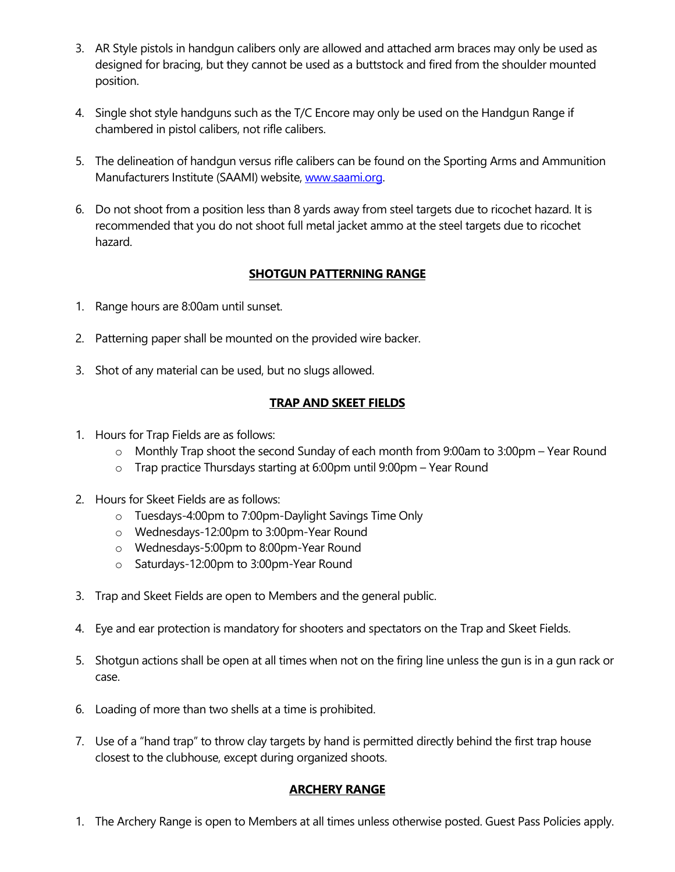- 3. AR Style pistols in handgun calibers only are allowed and attached arm braces may only be used as designed for bracing, but they cannot be used as a buttstock and fired from the shoulder mounted position.
- 4. Single shot style handguns such as the T/C Encore may only be used on the Handgun Range if chambered in pistol calibers, not rifle calibers.
- 5. The delineation of handgun versus rifle calibers can be found on the Sporting Arms and Ammunition Manufacturers Institute (SAAMI) website[, www.saami.org.](http://www.saami.org/)
- 6. Do not shoot from a position less than 8 yards away from steel targets due to ricochet hazard. It is recommended that you do not shoot full metal jacket ammo at the steel targets due to ricochet hazard.

## **SHOTGUN PATTERNING RANGE**

- 1. Range hours are 8:00am until sunset.
- 2. Patterning paper shall be mounted on the provided wire backer.
- 3. Shot of any material can be used, but no slugs allowed.

#### **TRAP AND SKEET FIELDS**

- 1. Hours for Trap Fields are as follows:
	- o Monthly Trap shoot the second Sunday of each month from 9:00am to 3:00pm Year Round
	- o Trap practice Thursdays starting at 6:00pm until 9:00pm Year Round
- 2. Hours for Skeet Fields are as follows:
	- o Tuesdays-4:00pm to 7:00pm-Daylight Savings Time Only
	- o Wednesdays-12:00pm to 3:00pm-Year Round
	- o Wednesdays-5:00pm to 8:00pm-Year Round
	- o Saturdays-12:00pm to 3:00pm-Year Round
- 3. Trap and Skeet Fields are open to Members and the general public.
- 4. Eye and ear protection is mandatory for shooters and spectators on the Trap and Skeet Fields.
- 5. Shotgun actions shall be open at all times when not on the firing line unless the gun is in a gun rack or case.
- 6. Loading of more than two shells at a time is prohibited.
- 7. Use of a "hand trap" to throw clay targets by hand is permitted directly behind the first trap house closest to the clubhouse, except during organized shoots.

## **ARCHERY RANGE**

1. The Archery Range is open to Members at all times unless otherwise posted. Guest Pass Policies apply.